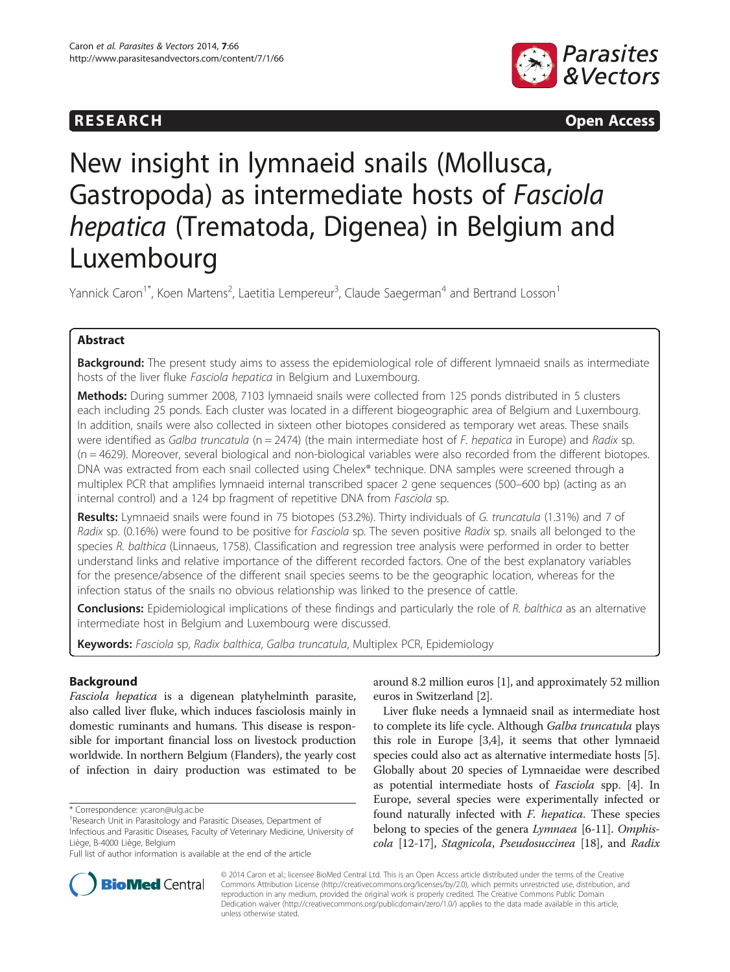



# New insight in lymnaeid snails (Mollusca, Gastropoda) as intermediate hosts of Fasciola hepatica (Trematoda, Digenea) in Belgium and Luxembourg

Yannick Caron<sup>1\*</sup>, Koen Martens<sup>2</sup>, Laetitia Lempereur<sup>3</sup>, Claude Saegerman<sup>4</sup> and Bertrand Losson<sup>1</sup>

# Abstract

**Background:** The present study aims to assess the epidemiological role of different lymnaeid snails as intermediate hosts of the liver fluke Fasciola hepatica in Belgium and Luxembourg.

Methods: During summer 2008, 7103 lymnaeid snails were collected from 125 ponds distributed in 5 clusters each including 25 ponds. Each cluster was located in a different biogeographic area of Belgium and Luxembourg. In addition, snails were also collected in sixteen other biotopes considered as temporary wet areas. These snails were identified as Galba truncatula ( $n = 2474$ ) (the main intermediate host of F. hepatica in Europe) and Radix sp. (n = 4629). Moreover, several biological and non-biological variables were also recorded from the different biotopes. DNA was extracted from each snail collected using Chelex® technique. DNA samples were screened through a multiplex PCR that amplifies lymnaeid internal transcribed spacer 2 gene sequences (500–600 bp) (acting as an internal control) and a 124 bp fragment of repetitive DNA from Fasciola sp.

Results: Lymnaeid snails were found in 75 biotopes (53.2%). Thirty individuals of G. truncatula (1.31%) and 7 of Radix sp. (0.16%) were found to be positive for Fasciola sp. The seven positive Radix sp. snails all belonged to the species R. balthica (Linnaeus, 1758). Classification and regression tree analysis were performed in order to better understand links and relative importance of the different recorded factors. One of the best explanatory variables for the presence/absence of the different snail species seems to be the geographic location, whereas for the infection status of the snails no obvious relationship was linked to the presence of cattle.

**Conclusions:** Epidemiological implications of these findings and particularly the role of R. balthica as an alternative intermediate host in Belgium and Luxembourg were discussed.

Keywords: Fasciola sp, Radix balthica, Galba truncatula, Multiplex PCR, Epidemiology

# Background

Fasciola hepatica is a digenean platyhelminth parasite, also called liver fluke, which induces fasciolosis mainly in domestic ruminants and humans. This disease is responsible for important financial loss on livestock production worldwide. In northern Belgium (Flanders), the yearly cost of infection in dairy production was estimated to be

\* Correspondence: [ycaron@ulg.ac.be](mailto:ycaron@ulg.ac.be) <sup>1</sup>

around 8.2 million euros [[1](#page-6-0)], and approximately 52 million euros in Switzerland [\[2\]](#page-6-0).

Liver fluke needs a lymnaeid snail as intermediate host to complete its life cycle. Although Galba truncatula plays this role in Europe [[3,4\]](#page-6-0), it seems that other lymnaeid species could also act as alternative intermediate hosts [[5](#page-6-0)]. Globally about 20 species of Lymnaeidae were described as potential intermediate hosts of Fasciola spp. [[4\]](#page-6-0). In Europe, several species were experimentally infected or found naturally infected with F. hepatica. These species belong to species of the genera *Lymnaea* [[6-11](#page-6-0)]. Omphiscola [\[12-17](#page-6-0)], Stagnicola, Pseudosuccinea [\[18\]](#page-6-0), and Radix



© 2014 Caron et al.; licensee BioMed Central Ltd. This is an Open Access article distributed under the terms of the Creative Commons Attribution License [\(http://creativecommons.org/licenses/by/2.0\)](http://creativecommons.org/licenses/by/2.0), which permits unrestricted use, distribution, and reproduction in any medium, provided the original work is properly credited. The Creative Commons Public Domain Dedication waiver [\(http://creativecommons.org/publicdomain/zero/1.0/](http://creativecommons.org/publicdomain/zero/1.0/)) applies to the data made available in this article, unless otherwise stated.

<sup>&</sup>lt;sup>1</sup> Research Unit in Parasitology and Parasitic Diseases, Department of Infectious and Parasitic Diseases, Faculty of Veterinary Medicine, University of Liège, B-4000 Liège, Belgium

Full list of author information is available at the end of the article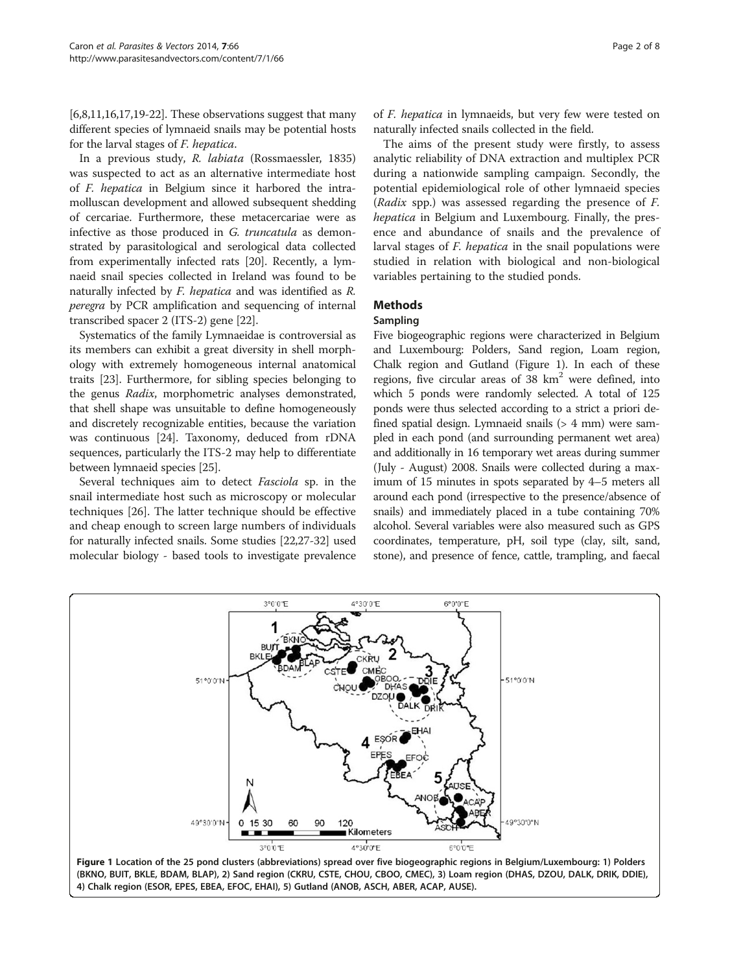$[6,8,11,16,17,19-22]$  $[6,8,11,16,17,19-22]$  $[6,8,11,16,17,19-22]$  $[6,8,11,16,17,19-22]$  $[6,8,11,16,17,19-22]$  $[6,8,11,16,17,19-22]$  $[6,8,11,16,17,19-22]$ . These observations suggest that many different species of lymnaeid snails may be potential hosts for the larval stages of F. hepatica.

In a previous study, R. labiata (Rossmaessler, 1835) was suspected to act as an alternative intermediate host of F. hepatica in Belgium since it harbored the intramolluscan development and allowed subsequent shedding of cercariae. Furthermore, these metacercariae were as infective as those produced in G. truncatula as demonstrated by parasitological and serological data collected from experimentally infected rats [\[20\]](#page-6-0). Recently, a lymnaeid snail species collected in Ireland was found to be naturally infected by F. hepatica and was identified as R. peregra by PCR amplification and sequencing of internal transcribed spacer 2 (ITS-2) gene [[22\]](#page-6-0).

Systematics of the family Lymnaeidae is controversial as its members can exhibit a great diversity in shell morphology with extremely homogeneous internal anatomical traits [\[23](#page-6-0)]. Furthermore, for sibling species belonging to the genus Radix, morphometric analyses demonstrated, that shell shape was unsuitable to define homogeneously and discretely recognizable entities, because the variation was continuous [[24](#page-6-0)]. Taxonomy, deduced from rDNA sequences, particularly the ITS-2 may help to differentiate between lymnaeid species [\[25\]](#page-6-0).

Several techniques aim to detect Fasciola sp. in the snail intermediate host such as microscopy or molecular techniques [\[26](#page-6-0)]. The latter technique should be effective and cheap enough to screen large numbers of individuals for naturally infected snails. Some studies [\[22,27-](#page-6-0)[32\]](#page-7-0) used molecular biology - based tools to investigate prevalence of F. hepatica in lymnaeids, but very few were tested on naturally infected snails collected in the field.

The aims of the present study were firstly, to assess analytic reliability of DNA extraction and multiplex PCR during a nationwide sampling campaign. Secondly, the potential epidemiological role of other lymnaeid species (Radix spp.) was assessed regarding the presence of F. hepatica in Belgium and Luxembourg. Finally, the presence and abundance of snails and the prevalence of larval stages of F. hepatica in the snail populations were studied in relation with biological and non-biological variables pertaining to the studied ponds.

# **Methods**

## Sampling

Five biogeographic regions were characterized in Belgium and Luxembourg: Polders, Sand region, Loam region, Chalk region and Gutland (Figure 1). In each of these regions, five circular areas of  $38 \text{ km}^2$  were defined, into which 5 ponds were randomly selected. A total of 125 ponds were thus selected according to a strict a priori defined spatial design. Lymnaeid snails (> 4 mm) were sampled in each pond (and surrounding permanent wet area) and additionally in 16 temporary wet areas during summer (July - August) 2008. Snails were collected during a maximum of 15 minutes in spots separated by 4–5 meters all around each pond (irrespective to the presence/absence of snails) and immediately placed in a tube containing 70% alcohol. Several variables were also measured such as GPS coordinates, temperature, pH, soil type (clay, silt, sand, stone), and presence of fence, cattle, trampling, and faecal

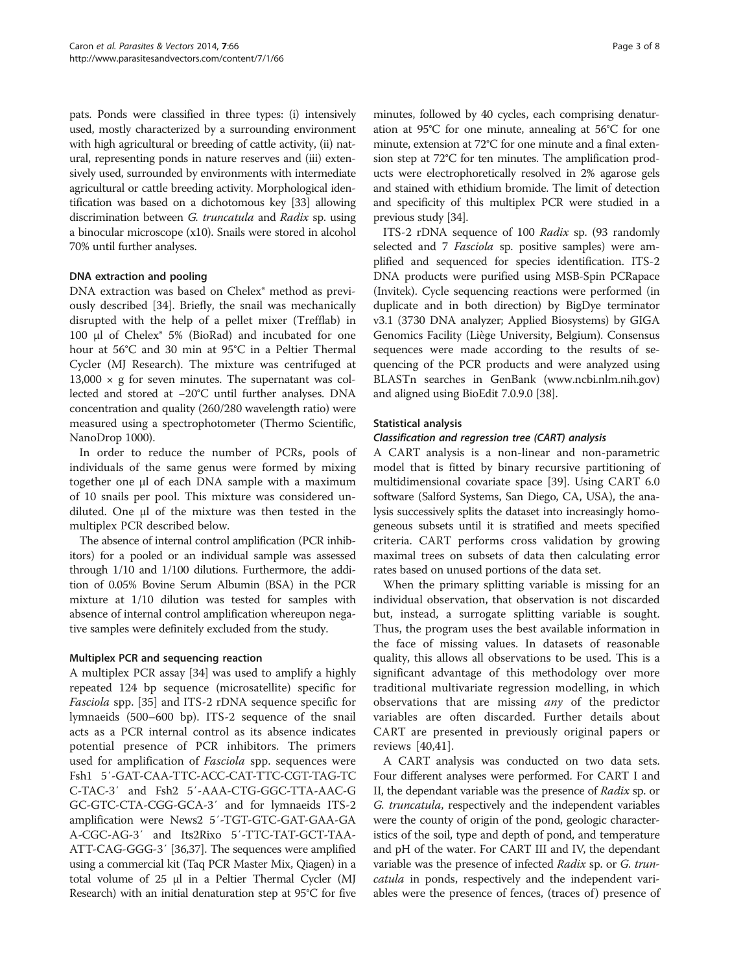pats. Ponds were classified in three types: (i) intensively used, mostly characterized by a surrounding environment with high agricultural or breeding of cattle activity, (ii) natural, representing ponds in nature reserves and (iii) extensively used, surrounded by environments with intermediate agricultural or cattle breeding activity. Morphological identification was based on a dichotomous key [[33](#page-7-0)] allowing discrimination between G. truncatula and Radix sp. using a binocular microscope (x10). Snails were stored in alcohol 70% until further analyses.

# DNA extraction and pooling

DNA extraction was based on Chelex® method as previously described [[34](#page-7-0)]. Briefly, the snail was mechanically disrupted with the help of a pellet mixer (Trefflab) in 100 μl of Chelex® 5% (BioRad) and incubated for one hour at 56°C and 30 min at 95°C in a Peltier Thermal Cycler (MJ Research). The mixture was centrifuged at  $13,000 \times g$  for seven minutes. The supernatant was collected and stored at −20°C until further analyses. DNA concentration and quality (260/280 wavelength ratio) were measured using a spectrophotometer (Thermo Scientific, NanoDrop 1000).

In order to reduce the number of PCRs, pools of individuals of the same genus were formed by mixing together one μl of each DNA sample with a maximum of 10 snails per pool. This mixture was considered undiluted. One μl of the mixture was then tested in the multiplex PCR described below.

The absence of internal control amplification (PCR inhibitors) for a pooled or an individual sample was assessed through 1/10 and 1/100 dilutions. Furthermore, the addition of 0.05% Bovine Serum Albumin (BSA) in the PCR mixture at 1/10 dilution was tested for samples with absence of internal control amplification whereupon negative samples were definitely excluded from the study.

# Multiplex PCR and sequencing reaction

A multiplex PCR assay [\[34](#page-7-0)] was used to amplify a highly repeated 124 bp sequence (microsatellite) specific for Fasciola spp. [[35](#page-7-0)] and ITS-2 rDNA sequence specific for lymnaeids (500–600 bp). ITS-2 sequence of the snail acts as a PCR internal control as its absence indicates potential presence of PCR inhibitors. The primers used for amplification of *Fasciola* spp. sequences were Fsh1 5′-GAT-CAA-TTC-ACC-CAT-TTC-CGT-TAG-TC C-TAC-3′ and Fsh2 5′-AAA-CTG-GGC-TTA-AAC-G GC-GTC-CTA-CGG-GCA-3′ and for lymnaeids ITS-2 amplification were News2 5′-TGT-GTC-GAT-GAA-GA A-CGC-AG-3′ and Its2Rixo 5′-TTC-TAT-GCT-TAA-ATT-CAG-GGG-3′ [\[36,37\]](#page-7-0). The sequences were amplified using a commercial kit (Taq PCR Master Mix, Qiagen) in a total volume of 25 μl in a Peltier Thermal Cycler (MJ Research) with an initial denaturation step at 95°C for five

minutes, followed by 40 cycles, each comprising denaturation at 95°C for one minute, annealing at 56°C for one minute, extension at 72°C for one minute and a final extension step at 72°C for ten minutes. The amplification products were electrophoretically resolved in 2% agarose gels and stained with ethidium bromide. The limit of detection and specificity of this multiplex PCR were studied in a previous study [[34](#page-7-0)].

ITS-2 rDNA sequence of 100 Radix sp. (93 randomly selected and 7 Fasciola sp. positive samples) were amplified and sequenced for species identification. ITS-2 DNA products were purified using MSB-Spin PCRapace (Invitek). Cycle sequencing reactions were performed (in duplicate and in both direction) by BigDye terminator v3.1 (3730 DNA analyzer; Applied Biosystems) by GIGA Genomics Facility (Liège University, Belgium). Consensus sequences were made according to the results of sequencing of the PCR products and were analyzed using BLASTn searches in GenBank ([www.ncbi.nlm.nih.gov](http://www.ncbi.nlm.nih.gov)) and aligned using BioEdit 7.0.9.0 [[38](#page-7-0)].

## Statistical analysis

## Classification and regression tree (CART) analysis

A CART analysis is a non-linear and non-parametric model that is fitted by binary recursive partitioning of multidimensional covariate space [[39\]](#page-7-0). Using CART 6.0 software (Salford Systems, San Diego, CA, USA), the analysis successively splits the dataset into increasingly homogeneous subsets until it is stratified and meets specified criteria. CART performs cross validation by growing maximal trees on subsets of data then calculating error rates based on unused portions of the data set.

When the primary splitting variable is missing for an individual observation, that observation is not discarded but, instead, a surrogate splitting variable is sought. Thus, the program uses the best available information in the face of missing values. In datasets of reasonable quality, this allows all observations to be used. This is a significant advantage of this methodology over more traditional multivariate regression modelling, in which observations that are missing any of the predictor variables are often discarded. Further details about CART are presented in previously original papers or reviews [[40,41](#page-7-0)].

A CART analysis was conducted on two data sets. Four different analyses were performed. For CART I and II, the dependant variable was the presence of Radix sp. or G. truncatula, respectively and the independent variables were the county of origin of the pond, geologic characteristics of the soil, type and depth of pond, and temperature and pH of the water. For CART III and IV, the dependant variable was the presence of infected Radix sp. or G. truncatula in ponds, respectively and the independent variables were the presence of fences, (traces of) presence of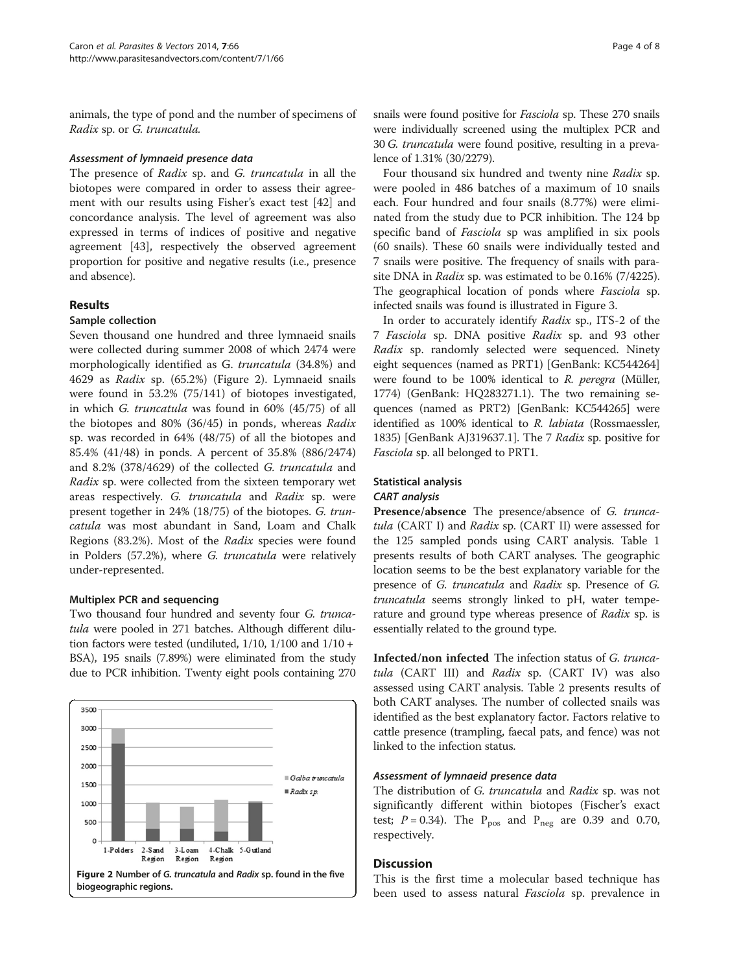animals, the type of pond and the number of specimens of Radix sp. or G. truncatula.

## Assessment of lymnaeid presence data

The presence of Radix sp. and G. truncatula in all the biotopes were compared in order to assess their agreement with our results using Fisher's exact test [[42](#page-7-0)] and concordance analysis. The level of agreement was also expressed in terms of indices of positive and negative agreement [\[43](#page-7-0)], respectively the observed agreement proportion for positive and negative results (i.e., presence and absence).

# Results

## Sample collection

Seven thousand one hundred and three lymnaeid snails were collected during summer 2008 of which 2474 were morphologically identified as G. truncatula (34.8%) and 4629 as Radix sp. (65.2%) (Figure 2). Lymnaeid snails were found in 53.2% (75/141) of biotopes investigated, in which G. truncatula was found in 60% (45/75) of all the biotopes and 80% (36/45) in ponds, whereas Radix sp. was recorded in 64% (48/75) of all the biotopes and 85.4% (41/48) in ponds. A percent of 35.8% (886/2474) and 8.2% (378/4629) of the collected G. truncatula and Radix sp. were collected from the sixteen temporary wet areas respectively. G. truncatula and Radix sp. were present together in 24% (18/75) of the biotopes. G. truncatula was most abundant in Sand, Loam and Chalk Regions (83.2%). Most of the Radix species were found in Polders (57.2%), where G. truncatula were relatively under-represented.

## Multiplex PCR and sequencing

Two thousand four hundred and seventy four G. truncatula were pooled in 271 batches. Although different dilution factors were tested (undiluted,  $1/10$ ,  $1/100$  and  $1/10 +$ BSA), 195 snails (7.89%) were eliminated from the study due to PCR inhibition. Twenty eight pools containing 270



snails were found positive for Fasciola sp. These 270 snails were individually screened using the multiplex PCR and 30 G. truncatula were found positive, resulting in a prevalence of 1.31% (30/2279).

Four thousand six hundred and twenty nine Radix sp. were pooled in 486 batches of a maximum of 10 snails each. Four hundred and four snails (8.77%) were eliminated from the study due to PCR inhibition. The 124 bp specific band of *Fasciola* sp was amplified in six pools (60 snails). These 60 snails were individually tested and 7 snails were positive. The frequency of snails with parasite DNA in Radix sp. was estimated to be 0.16% (7/4225). The geographical location of ponds where Fasciola sp. infected snails was found is illustrated in Figure [3.](#page-4-0)

In order to accurately identify Radix sp., ITS-2 of the 7 Fasciola sp. DNA positive Radix sp. and 93 other Radix sp. randomly selected were sequenced. Ninety eight sequences (named as PRT1) [GenBank: KC544264] were found to be 100% identical to R. peregra (Müller, 1774) (GenBank: HQ283271.1). The two remaining sequences (named as PRT2) [GenBank: KC544265] were identified as 100% identical to R. labiata (Rossmaessler, 1835) [GenBank AJ319637.1]. The 7 Radix sp. positive for Fasciola sp. all belonged to PRT1.

# Statistical analysis

# CART analysis

Presence/absence The presence/absence of G. truncatula (CART I) and Radix sp. (CART II) were assessed for the 125 sampled ponds using CART analysis. Table [1](#page-4-0) presents results of both CART analyses. The geographic location seems to be the best explanatory variable for the presence of G. truncatula and Radix sp. Presence of G. truncatula seems strongly linked to pH, water temperature and ground type whereas presence of Radix sp. is essentially related to the ground type.

Infected/non infected The infection status of G. truncatula (CART III) and Radix sp. (CART IV) was also assessed using CART analysis. Table [2](#page-4-0) presents results of both CART analyses. The number of collected snails was identified as the best explanatory factor. Factors relative to cattle presence (trampling, faecal pats, and fence) was not linked to the infection status.

# Assessment of lymnaeid presence data

The distribution of G. truncatula and Radix sp. was not significantly different within biotopes (Fischer's exact test;  $P = 0.34$ ). The  $P_{pos}$  and  $P_{neg}$  are 0.39 and 0.70, respectively.

# **Discussion**

This is the first time a molecular based technique has been used to assess natural Fasciola sp. prevalence in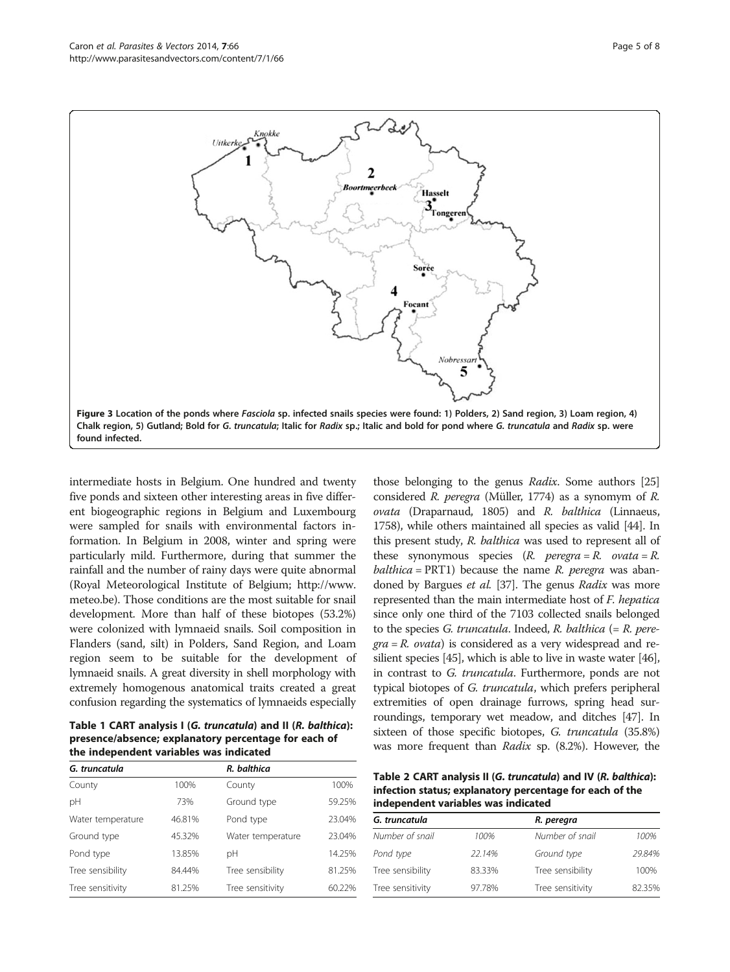<span id="page-4-0"></span>

intermediate hosts in Belgium. One hundred and twenty five ponds and sixteen other interesting areas in five different biogeographic regions in Belgium and Luxembourg were sampled for snails with environmental factors information. In Belgium in 2008, winter and spring were particularly mild. Furthermore, during that summer the rainfall and the number of rainy days were quite abnormal (Royal Meteorological Institute of Belgium; [http://www.](http://www.meteo.be) [meteo.be\)](http://www.meteo.be). Those conditions are the most suitable for snail development. More than half of these biotopes (53.2%) were colonized with lymnaeid snails. Soil composition in Flanders (sand, silt) in Polders, Sand Region, and Loam region seem to be suitable for the development of lymnaeid snails. A great diversity in shell morphology with extremely homogenous anatomical traits created a great confusion regarding the systematics of lymnaeids especially

Table 1 CART analysis I (G. truncatula) and II (R. balthica): presence/absence; explanatory percentage for each of the independent variables was indicated

| G. truncatula     |        | R. balthica       |        |
|-------------------|--------|-------------------|--------|
| County            | 100%   | County            | 100%   |
| рH                | 73%    | Ground type       | 59.25% |
| Water temperature | 46.81% | Pond type         | 23.04% |
| Ground type       | 45.32% | Water temperature | 23.04% |
| Pond type         | 13.85% | рH                | 14.25% |
| Tree sensibility  | 84.44% | Tree sensibility  | 81.25% |
| Tree sensitivity  | 81.25% | Tree sensitivity  | 60.22% |

those belonging to the genus Radix. Some authors [\[25](#page-6-0)] considered R. peregra (Müller, 1774) as a synomym of R. ovata (Draparnaud, 1805) and R. balthica (Linnaeus, 1758), while others maintained all species as valid [\[44\]](#page-7-0). In this present study, R. balthica was used to represent all of these synonymous species  $(R. \tperq peregra = R. \tvartriangleleft a = R.$ balthica =  $PRT1$ ) because the name R. peregra was aban-doned by Bargues et al. [\[37\]](#page-7-0). The genus Radix was more represented than the main intermediate host of F. hepatica since only one third of the 7103 collected snails belonged to the species G. truncatula. Indeed, R. balthica  $(= R.$  pere $gra = R$ . *ovata*) is considered as a very widespread and resilient species [\[45\]](#page-7-0), which is able to live in waste water [\[46](#page-7-0)], in contrast to G. truncatula. Furthermore, ponds are not typical biotopes of G. truncatula, which prefers peripheral extremities of open drainage furrows, spring head surroundings, temporary wet meadow, and ditches [[47](#page-7-0)]. In sixteen of those specific biotopes, G. truncatula (35.8%) was more frequent than Radix sp. (8.2%). However, the

Table 2 CART analysis II (G. truncatula) and IV (R. balthica): infection status; explanatory percentage for each of the independent variables was indicated

| G. truncatula    |        | R. peregra       |        |  |
|------------------|--------|------------------|--------|--|
| Number of snail  | 100%   | Number of snail  | 100%   |  |
| Pond type        | 22.14% | Ground type      | 29.84% |  |
| Tree sensibility | 83.33% | Tree sensibility | 100%   |  |
| Tree sensitivity | 97.78% | Tree sensitivity | 82.35% |  |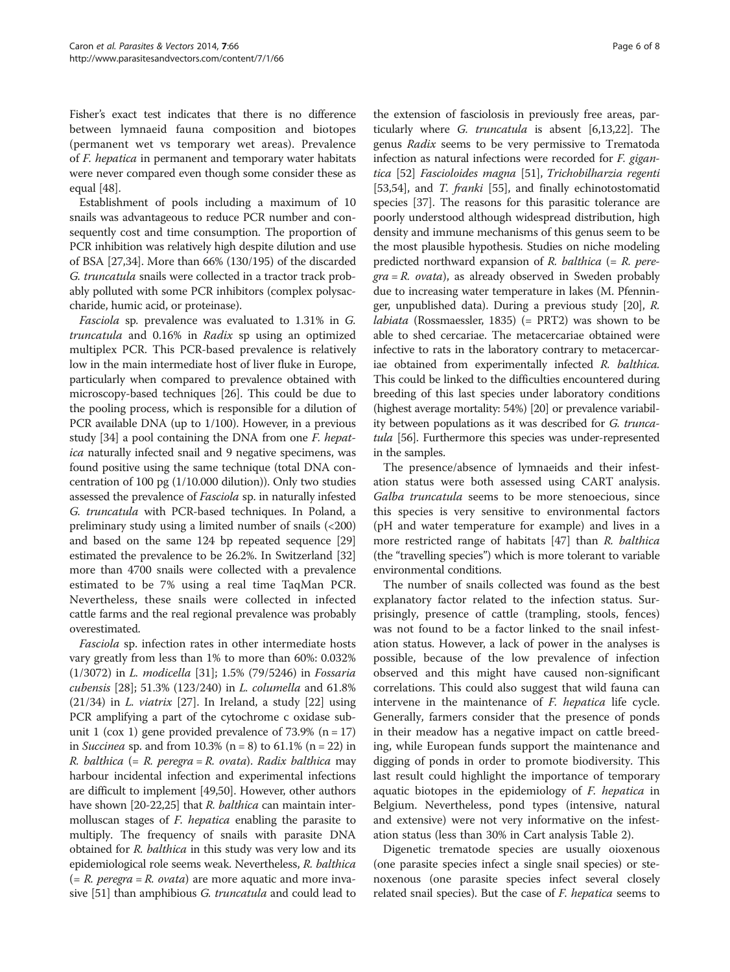Fisher's exact test indicates that there is no difference between lymnaeid fauna composition and biotopes (permanent wet vs temporary wet areas). Prevalence of F. hepatica in permanent and temporary water habitats were never compared even though some consider these as equal [[48](#page-7-0)].

Establishment of pools including a maximum of 10 snails was advantageous to reduce PCR number and consequently cost and time consumption. The proportion of PCR inhibition was relatively high despite dilution and use of BSA [[27](#page-6-0),[34](#page-7-0)]. More than 66% (130/195) of the discarded G. truncatula snails were collected in a tractor track probably polluted with some PCR inhibitors (complex polysaccharide, humic acid, or proteinase).

Fasciola sp. prevalence was evaluated to 1.31% in G. truncatula and 0.16% in Radix sp using an optimized multiplex PCR. This PCR-based prevalence is relatively low in the main intermediate host of liver fluke in Europe, particularly when compared to prevalence obtained with microscopy-based techniques [\[26\]](#page-6-0). This could be due to the pooling process, which is responsible for a dilution of PCR available DNA (up to 1/100). However, in a previous study [\[34\]](#page-7-0) a pool containing the DNA from one F. hepatica naturally infected snail and 9 negative specimens, was found positive using the same technique (total DNA concentration of 100 pg (1/10.000 dilution)). Only two studies assessed the prevalence of *Fasciola* sp. in naturally infested G. truncatula with PCR-based techniques. In Poland, a preliminary study using a limited number of snails (<200) and based on the same 124 bp repeated sequence [[29](#page-7-0)] estimated the prevalence to be 26.2%. In Switzerland [[32](#page-7-0)] more than 4700 snails were collected with a prevalence estimated to be 7% using a real time TaqMan PCR. Nevertheless, these snails were collected in infected cattle farms and the real regional prevalence was probably overestimated.

Fasciola sp. infection rates in other intermediate hosts vary greatly from less than 1% to more than 60%: 0.032% (1/3072) in L. modicella [\[31](#page-7-0)]; 1.5% (79/5246) in Fossaria cubensis [[28](#page-6-0)]; 51.3% (123/240) in L. columella and 61.8%  $(21/34)$  in *L. viatrix* [[27](#page-6-0)]. In Ireland, a study [[22\]](#page-6-0) using PCR amplifying a part of the cytochrome c oxidase subunit 1 (cox 1) gene provided prevalence of  $73.9\%$  (n = 17) in *Succinea* sp. and from 10.3% ( $n = 8$ ) to 61.1% ( $n = 22$ ) in R. balthica  $(= R. \text{ peregra} = R. \text{ ovata})$ . Radix balthica may harbour incidental infection and experimental infections are difficult to implement [\[49,50](#page-7-0)]. However, other authors have shown [\[20-22,25\]](#page-6-0) that *R. balthica* can maintain intermolluscan stages of F. hepatica enabling the parasite to multiply. The frequency of snails with parasite DNA obtained for *R. balthica* in this study was very low and its epidemiological role seems weak. Nevertheless, R. balthica  $(= R. \text{ peregra} = R. \text{ ovata})$  are more aquatic and more inva-sive [\[51](#page-7-0)] than amphibious G. truncatula and could lead to

the extension of fasciolosis in previously free areas, particularly where G. truncatula is absent [\[6,13,22](#page-6-0)]. The genus Radix seems to be very permissive to Trematoda infection as natural infections were recorded for F. gigantica [\[52](#page-7-0)] Fascioloides magna [\[51\]](#page-7-0), Trichobilharzia regenti [[53](#page-7-0),[54](#page-7-0)], and *T. franki* [[55](#page-7-0)], and finally echinotostomatid species [\[37\]](#page-7-0). The reasons for this parasitic tolerance are poorly understood although widespread distribution, high density and immune mechanisms of this genus seem to be the most plausible hypothesis. Studies on niche modeling predicted northward expansion of  $R$ . balthica (=  $R$ . pere $gra = R.$  ovata), as already observed in Sweden probably due to increasing water temperature in lakes (M. Pfenninger, unpublished data). During a previous study [[20](#page-6-0)], R. *labiata* (Rossmaessler, 1835)  $(= PRT2)$  was shown to be able to shed cercariae. The metacercariae obtained were infective to rats in the laboratory contrary to metacercariae obtained from experimentally infected R. balthica. This could be linked to the difficulties encountered during breeding of this last species under laboratory conditions (highest average mortality: 54%) [[20](#page-6-0)] or prevalence variability between populations as it was described for G. trunca-tula [\[56\]](#page-7-0). Furthermore this species was under-represented in the samples.

The presence/absence of lymnaeids and their infestation status were both assessed using CART analysis. Galba truncatula seems to be more stenoecious, since this species is very sensitive to environmental factors (pH and water temperature for example) and lives in a more restricted range of habitats [[47\]](#page-7-0) than R. balthica (the "travelling species") which is more tolerant to variable environmental conditions.

The number of snails collected was found as the best explanatory factor related to the infection status. Surprisingly, presence of cattle (trampling, stools, fences) was not found to be a factor linked to the snail infestation status. However, a lack of power in the analyses is possible, because of the low prevalence of infection observed and this might have caused non-significant correlations. This could also suggest that wild fauna can intervene in the maintenance of F. hepatica life cycle. Generally, farmers consider that the presence of ponds in their meadow has a negative impact on cattle breeding, while European funds support the maintenance and digging of ponds in order to promote biodiversity. This last result could highlight the importance of temporary aquatic biotopes in the epidemiology of  $F$ . *hepatica* in Belgium. Nevertheless, pond types (intensive, natural and extensive) were not very informative on the infestation status (less than 30% in Cart analysis Table [2\)](#page-4-0).

Digenetic trematode species are usually oioxenous (one parasite species infect a single snail species) or stenoxenous (one parasite species infect several closely related snail species). But the case of *F. hepatica* seems to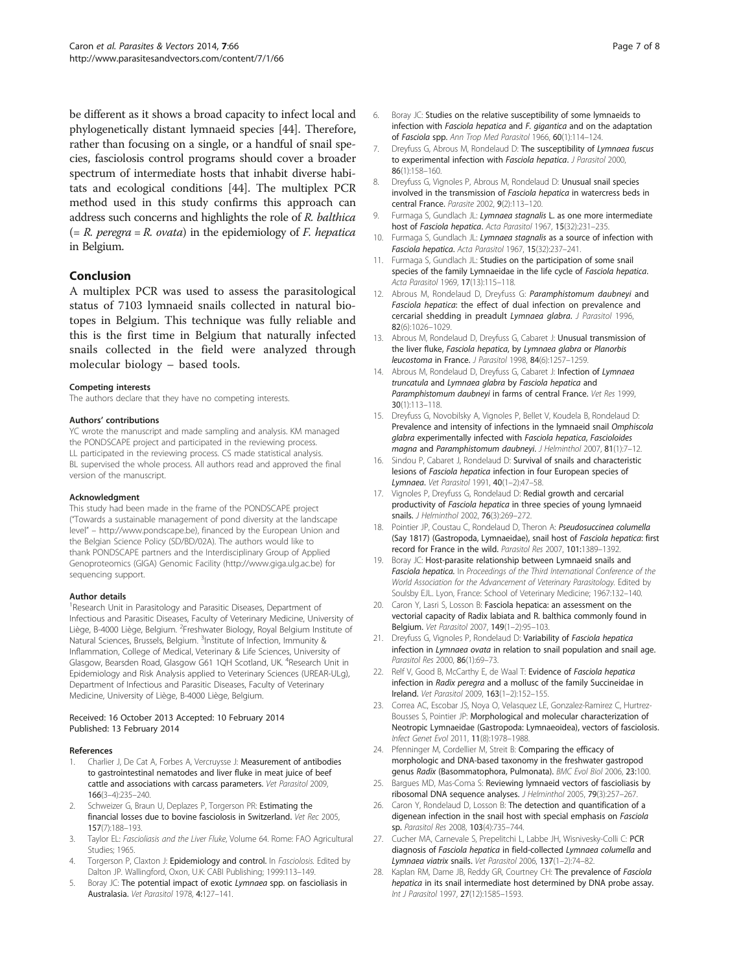<span id="page-6-0"></span>be different as it shows a broad capacity to infect local and phylogenetically distant lymnaeid species [\[44](#page-7-0)]. Therefore, rather than focusing on a single, or a handful of snail species, fasciolosis control programs should cover a broader spectrum of intermediate hosts that inhabit diverse habitats and ecological conditions [\[44](#page-7-0)]. The multiplex PCR method used in this study confirms this approach can address such concerns and highlights the role of R. balthica  $(= R. \text{ peregra} = R. \text{ ovata})$  in the epidemiology of *F. hepatica* in Belgium.

# Conclusion

A multiplex PCR was used to assess the parasitological status of 7103 lymnaeid snails collected in natural biotopes in Belgium. This technique was fully reliable and this is the first time in Belgium that naturally infected snails collected in the field were analyzed through molecular biology – based tools.

## Competing interests

The authors declare that they have no competing interests.

## Authors' contributions

YC wrote the manuscript and made sampling and analysis. KM managed the PONDSCAPE project and participated in the reviewing process. LL participated in the reviewing process. CS made statistical analysis. BL supervised the whole process. All authors read and approved the final version of the manuscript.

## Acknowledgment

This study had been made in the frame of the PONDSCAPE project ("Towards a sustainable management of pond diversity at the landscape level" – <http://www.pondscape.be>), financed by the European Union and the Belgian Science Policy (SD/BD/02A). The authors would like to thank PONDSCAPE partners and the Interdisciplinary Group of Applied Genoproteomics (GIGA) Genomic Facility [\(http://www.giga.ulg.ac.be](http://www.giga.ulg.ac.be)) for sequencing support.

## Author details

<sup>1</sup> Research Unit in Parasitology and Parasitic Diseases, Department of Infectious and Parasitic Diseases, Faculty of Veterinary Medicine, University of Liège, B-4000 Liège, Belgium. <sup>2</sup>Freshwater Biology, Royal Belgium Institute of Natural Sciences, Brussels, Belgium. <sup>3</sup>Institute of Infection, Immunity & Inflammation, College of Medical, Veterinary & Life Sciences, University of Glasgow, Bearsden Road, Glasgow G61 1QH Scotland, UK. <sup>4</sup>Research Unit in Epidemiology and Risk Analysis applied to Veterinary Sciences (UREAR-ULg), Department of Infectious and Parasitic Diseases, Faculty of Veterinary Medicine, University of Liège, B-4000 Liège, Belgium.

#### Received: 16 October 2013 Accepted: 10 February 2014 Published: 13 February 2014

## References

- 1. Charlier J, De Cat A, Forbes A, Vercruysse J: Measurement of antibodies to gastrointestinal nematodes and liver fluke in meat juice of beef cattle and associations with carcass parameters. Vet Parasitol 2009, 166(3–4):235–240.
- 2. Schweizer G, Braun U, Deplazes P, Torgerson PR: Estimating the financial losses due to bovine fasciolosis in Switzerland. Vet Rec 2005, 157(7):188–193.
- Taylor EL: Fascioliasis and the Liver Fluke, Volume 64. Rome: FAO Agricultural Studies; 1965.
- Torgerson P, Claxton J: Epidemiology and control. In Fasciolosis. Edited by Dalton JP. Wallingford, Oxon, U.K: CABI Publishing; 1999:113–149.
- 5. Boray JC: The potential impact of exotic Lymnaea spp. on fascioliasis in Australasia. Vet Parasitol 1978, 4:127–141.
- 6. Boray JC: Studies on the relative susceptibility of some lymnaeids to infection with Fasciola hepatica and F. gigantica and on the adaptation of Fasciola spp. Ann Trop Med Parasitol 1966, 60(1):114–124.
- 7. Dreyfuss G, Abrous M, Rondelaud D: The susceptibility of Lymnaea fuscus to experimental infection with Fasciola hepatica. J Parasitol 2000, 86(1):158–160.
- 8. Dreyfuss G, Vignoles P, Abrous M, Rondelaud D: Unusual snail species involved in the transmission of Fasciola hepatica in watercress beds in central France. Parasite 2002, 9(2):113–120.
- 9. Furmaga S, Gundlach JL: Lymnaea stagnalis L. as one more intermediate host of Fasciola hepatica. Acta Parasitol 1967, 15(32):231–235.
- 10. Furmaga S, Gundlach JL: Lymnaea stagnalis as a source of infection with Fasciola hepatica. Acta Parasitol 1967, 15(32):237–241.
- 11. Furmaga S, Gundlach JL: Studies on the participation of some snail species of the family Lymnaeidae in the life cycle of Fasciola hepatica. Acta Parasitol 1969, 17(13):115–118.
- 12. Abrous M, Rondelaud D, Dreyfuss G: Paramphistomum daubneyi and Fasciola hepatica: the effect of dual infection on prevalence and cercarial shedding in preadult Lymnaea glabra. J Parasitol 1996, 82(6):1026–1029.
- 13. Abrous M, Rondelaud D, Dreyfuss G, Cabaret J: Unusual transmission of the liver fluke, Fasciola hepatica, by Lymnaea glabra or Planorbis leucostoma in France. J Parasitol 1998, 84(6):1257–1259.
- 14. Abrous M, Rondelaud D, Dreyfuss G, Cabaret J: Infection of Lymnaea truncatula and Lymnaea glabra by Fasciola hepatica and Paramphistomum daubneyi in farms of central France. Vet Res 1999, 30(1):113–118.
- 15. Dreyfuss G, Novobilsky A, Vignoles P, Bellet V, Koudela B, Rondelaud D: Prevalence and intensity of infections in the lymnaeid snail Omphiscola glabra experimentally infected with Fasciola hepatica, Fascioloides magna and Paramphistomum daubneyi. J Helminthol 2007, 81(1):7-12.
- 16. Sindou P, Cabaret J, Rondelaud D: Survival of snails and characteristic lesions of Fasciola hepatica infection in four European species of Lymnaea. Vet Parasitol 1991, 40(1–2):47–58.
- 17. Vignoles P, Dreyfuss G, Rondelaud D: Redial growth and cercarial productivity of Fasciola hepatica in three species of young lymnaeid snails. J Helminthol 2002, 76(3):269–272.
- 18. Pointier JP, Coustau C, Rondelaud D, Theron A: Pseudosuccinea columella (Say 1817) (Gastropoda, Lymnaeidae), snail host of Fasciola hepatica: first record for France in the wild. Parasitol Res 2007, 101:1389–1392.
- 19. Boray JC: Host-parasite relationship between Lymnaeid snails and Fasciola hepatica. In Proceedings of the Third International Conference of the World Association for the Advancement of Veterinary Parasitology. Edited by Soulsby EJL. Lyon, France: School of Veterinary Medicine; 1967:132–140.
- 20. Caron Y, Lasri S, Losson B: Fasciola hepatica: an assessment on the vectorial capacity of Radix labiata and R. balthica commonly found in Belgium. Vet Parasitol 2007, 149(1–2):95–103.
- 21. Dreyfuss G, Vignoles P, Rondelaud D: Variability of Fasciola hepatica infection in Lymnaea ovata in relation to snail population and snail age. Parasitol Res 2000, 86(1):69-73.
- 22. Relf V, Good B, McCarthy E, de Waal T: Evidence of Fasciola hepatica infection in Radix peregra and a mollusc of the family Succineidae in Ireland. Vet Parasitol 2009, 163(1–2):152–155.
- 23. Correa AC, Escobar JS, Noya O, Velasquez LE, Gonzalez-Ramirez C, Hurtrez-Bousses S, Pointier JP: Morphological and molecular characterization of Neotropic Lymnaeidae (Gastropoda: Lymnaeoidea), vectors of fasciolosis. Infect Genet Evol 2011, 11(8):1978–1988.
- 24. Pfenninger M, Cordellier M, Streit B: Comparing the efficacy of morphologic and DNA-based taxonomy in the freshwater gastropod genus Radix (Basommatophora, Pulmonata). BMC Evol Biol 2006, 23:100.
- 25. Bargues MD, Mas-Coma S: Reviewing lymnaeid vectors of fascioliasis by ribosomal DNA sequence analyses. J Helminthol 2005, 79(3):257–267.
- 26. Caron Y, Rondelaud D, Losson B: The detection and quantification of a digenean infection in the snail host with special emphasis on Fasciola sp. Parasitol Res 2008, 103(4):735–744.
- 27. Cucher MA, Carnevale S, Prepelitchi L, Labbe JH, Wisnivesky-Colli C: PCR diagnosis of Fasciola hepatica in field-collected Lymnaea columella and Lymnaea viatrix snails. Vet Parasitol 2006, 137(1–2):74–82.
- 28. Kaplan RM, Dame JB, Reddy GR, Courtney CH: The prevalence of Fasciola hepatica in its snail intermediate host determined by DNA probe assay. Int J Parasitol 1997, 27(12):1585–1593.